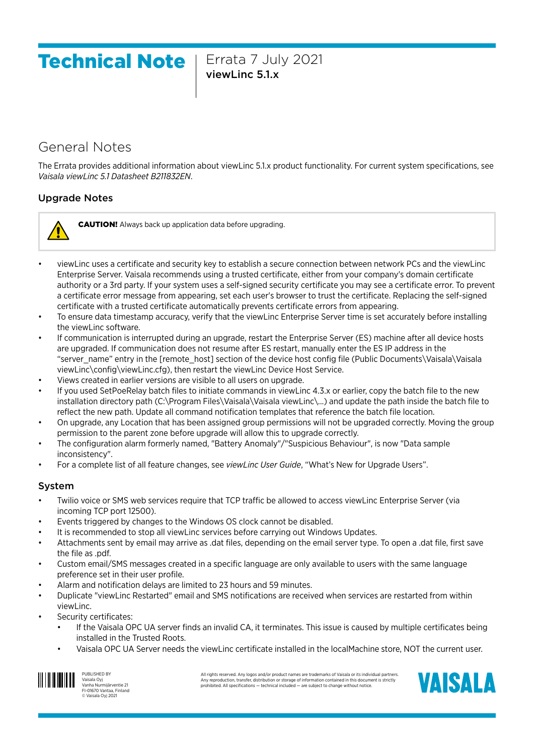# Technical Note | Errata 7 July 2021

viewLinc 5.1.x

# General Notes

The Errata provides additional information about viewLinc 5.1.x product functionality. For current system specifications, see *Vaisala viewLinc 5.1 Datasheet B211832EN*.

# Upgrade Notes



CAUTION! Always back up application data before upgrading.

- viewLinc uses a certificate and security key to establish a secure connection between network PCs and the viewLinc Enterprise Server. Vaisala recommends using a trusted certificate, either from your company's domain certificate authority or a 3rd party. If your system uses a self-signed security certificate you may see a certificate error. To prevent a certificate error message from appearing, set each user's browser to trust the certificate. Replacing the self-signed certificate with a trusted certificate automatically prevents certificate errors from appearing.
- To ensure data timestamp accuracy, verify that the viewLinc Enterprise Server time is set accurately before installing the viewLinc software.
- If communication is interrupted during an upgrade, restart the Enterprise Server (ES) machine after all device hosts are upgraded. If communication does not resume after ES restart, manually enter the ES IP address in the "server\_name" entry in the [remote\_host] section of the device host config file (Public Documents\Vaisala\Vaisala viewLinc\config\viewLinc.cfg), then restart the viewLinc Device Host Service.
- Views created in earlier versions are visible to all users on upgrade.
- If you used SetPoeRelay batch files to initiate commands in viewLinc 4.3.x or earlier, copy the batch file to the new installation directory path (C:\Program Files\Vaisala\Vaisala viewLinc\...) and update the path inside the batch file to reflect the new path. Update all command notification templates that reference the batch file location.
- On upgrade, any Location that has been assigned group permissions will not be upgraded correctly. Moving the group permission to the parent zone before upgrade will allow this to upgrade correctly.
- The configuration alarm formerly named, "Battery Anomaly"/"Suspicious Behaviour", is now "Data sample inconsistency".
- For a complete list of all feature changes, see *viewLinc User Guide*, "What's New for Upgrade Users".

#### System

- Twilio voice or SMS web services require that TCP traffic be allowed to access viewLinc Enterprise Server (via incoming TCP port 12500).
- Events triggered by changes to the Windows OS clock cannot be disabled.
- It is recommended to stop all viewLinc services before carrying out Windows Updates.
- Attachments sent by email may arrive as .dat files, depending on the email server type. To open a .dat file, first save the file as .pdf.
- Custom email/SMS messages created in a specific language are only available to users with the same language preference set in their user profile.
- Alarm and notification delays are limited to 23 hours and 59 minutes.
- Duplicate "viewLinc Restarted" email and SMS notifications are received when services are restarted from within viewLinc.
- Security certificates:
	- If the Vaisala OPC UA server finds an invalid CA, it terminates. This issue is caused by multiple certificates being installed in the Trusted Roots.
	- Vaisala OPC UA Server needs the viewLinc certificate installed in the localMachine store, NOT the current user.



PUBLISHED BY Vaisala Oyj Vanha Nurmijärventie 21 FI-01670 Vantaa, Finland © Vaisala Oyj 2021

All rights reserved. Any logos and/or product names are trademarks of Vaisala or its individual partners<br>Any reproduction, transfer, distribution or storage of information contained in this document is strictly<br>prohibited.

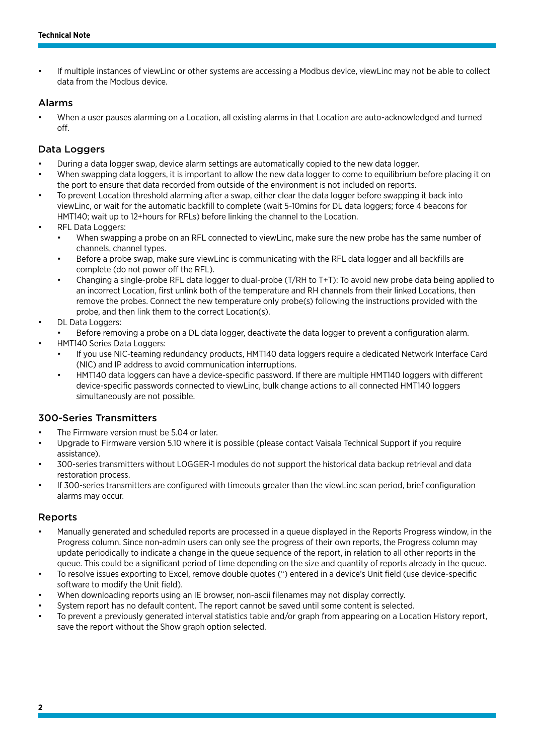• If multiple instances of viewLinc or other systems are accessing a Modbus device, viewLinc may not be able to collect data from the Modbus device.

#### Alarms

• When a user pauses alarming on a Location, all existing alarms in that Location are auto-acknowledged and turned off.

#### Data Loggers

- During a data logger swap, device alarm settings are automatically copied to the new data logger.
- When swapping data loggers, it is important to allow the new data logger to come to equilibrium before placing it on the port to ensure that data recorded from outside of the environment is not included on reports.
- To prevent Location threshold alarming after a swap, either clear the data logger before swapping it back into viewLinc, or wait for the automatic backfill to complete (wait 5-10mins for DL data loggers; force 4 beacons for HMT140; wait up to 12+hours for RFLs) before linking the channel to the Location.
- RFL Data Loggers:
	- When swapping a probe on an RFL connected to viewLinc, make sure the new probe has the same number of channels, channel types.
	- Before a probe swap, make sure viewLinc is communicating with the RFL data logger and all backfills are complete (do not power off the RFL).
	- Changing a single-probe RFL data logger to dual-probe (T/RH to T+T): To avoid new probe data being applied to an incorrect Location, first unlink both of the temperature and RH channels from their linked Locations, then remove the probes. Connect the new temperature only probe(s) following the instructions provided with the probe, and then link them to the correct Location(s).
- DL Data Loggers:
	- Before removing a probe on a DL data logger, deactivate the data logger to prevent a configuration alarm.
- HMT140 Series Data Loggers:
	- If you use NIC-teaming redundancy products, HMT140 data loggers require a dedicated Network Interface Card (NIC) and IP address to avoid communication interruptions.
	- HMT140 data loggers can have a device-specific password. If there are multiple HMT140 loggers with different device-specific passwords connected to viewLinc, bulk change actions to all connected HMT140 loggers simultaneously are not possible.

#### 300-Series Transmitters

- The Firmware version must be 5.04 or later.
- Upgrade to Firmware version 5.10 where it is possible (please contact Vaisala Technical Support if you require assistance).
- 300-series transmitters without LOGGER-1 modules do not support the historical data backup retrieval and data restoration process.
- If 300-series transmitters are configured with timeouts greater than the viewLinc scan period, brief configuration alarms may occur.

#### Reports

- Manually generated and scheduled reports are processed in a queue displayed in the Reports Progress window, in the Progress column. Since non-admin users can only see the progress of their own reports, the Progress column may update periodically to indicate a change in the queue sequence of the report, in relation to all other reports in the queue. This could be a significant period of time depending on the size and quantity of reports already in the queue.
- To resolve issues exporting to Excel, remove double quotes (") entered in a device's Unit field (use device-specific software to modify the Unit field).
- When downloading reports using an IE browser, non-ascii filenames may not display correctly.
- System report has no default content. The report cannot be saved until some content is selected.
- To prevent a previously generated interval statistics table and/or graph from appearing on a Location History report, save the report without the Show graph option selected.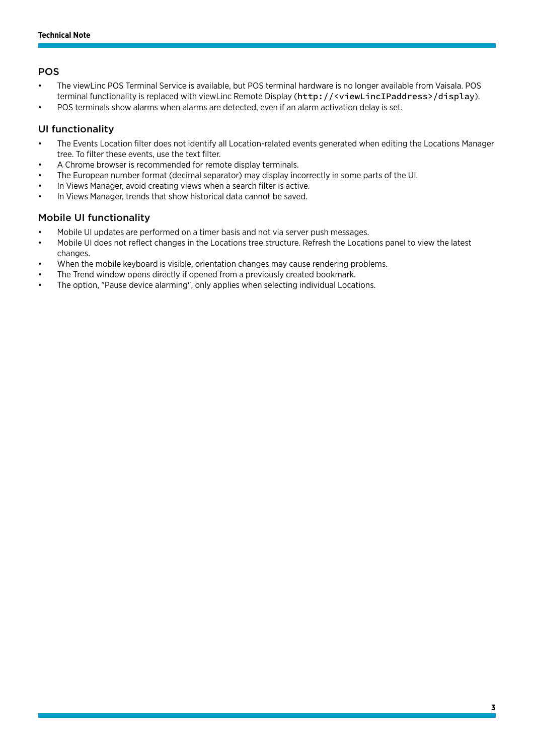# POS

- The viewLinc POS Terminal Service is available, but POS terminal hardware is no longer available from Vaisala. POS terminal functionality is replaced with viewLinc Remote Display (http://<viewLincIPaddress>/display).
- POS terminals show alarms when alarms are detected, even if an alarm activation delay is set.

# UI functionality

- The Events Location filter does not identify all Location-related events generated when editing the Locations Manager tree. To filter these events, use the text filter.
- A Chrome browser is recommended for remote display terminals.
- The European number format (decimal separator) may display incorrectly in some parts of the UI.
- In Views Manager, avoid creating views when a search filter is active.
- In Views Manager, trends that show historical data cannot be saved.

# Mobile UI functionality

- Mobile UI updates are performed on a timer basis and not via server push messages.
- Mobile UI does not reflect changes in the Locations tree structure. Refresh the Locations panel to view the latest changes.
- When the mobile keyboard is visible, orientation changes may cause rendering problems.
- The Trend window opens directly if opened from a previously created bookmark.
- The option, "Pause device alarming", only applies when selecting individual Locations.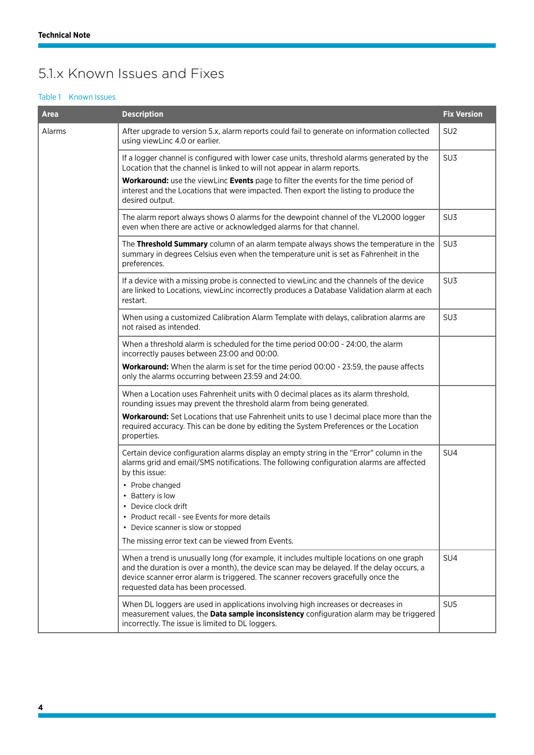# 5.1.x Known Issues and Fixes

#### Table 1 Known Issues

| <b>Area</b> | <b>Description</b>                                                                                                                                                                                                                                                                                                                                             | <b>Fix Version</b> |
|-------------|----------------------------------------------------------------------------------------------------------------------------------------------------------------------------------------------------------------------------------------------------------------------------------------------------------------------------------------------------------------|--------------------|
| Alarms      | After upgrade to version 5.x, alarm reports could fail to generate on information collected<br>using viewLinc 4.0 or earlier.                                                                                                                                                                                                                                  | SU <sub>2</sub>    |
|             | If a logger channel is configured with lower case units, threshold alarms generated by the<br>Location that the channel is linked to will not appear in alarm reports.                                                                                                                                                                                         | SU <sub>3</sub>    |
|             | Workaround: use the viewLinc Events page to filter the events for the time period of<br>interest and the Locations that were impacted. Then export the listing to produce the<br>desired output.                                                                                                                                                               |                    |
|             | The alarm report always shows 0 alarms for the dewpoint channel of the VL2000 logger<br>even when there are active or acknowledged alarms for that channel.                                                                                                                                                                                                    | SU <sub>3</sub>    |
|             | The Threshold Summary column of an alarm tempate always shows the temperature in the<br>summary in degrees Celsius even when the temperature unit is set as Fahrenheit in the<br>preferences.                                                                                                                                                                  | SU <sub>3</sub>    |
|             | If a device with a missing probe is connected to viewLinc and the channels of the device<br>are linked to Locations, viewLinc incorrectly produces a Database Validation alarm at each<br>restart.                                                                                                                                                             | SU <sub>3</sub>    |
|             | When using a customized Calibration Alarm Template with delays, calibration alarms are<br>not raised as intended.                                                                                                                                                                                                                                              | SU <sub>3</sub>    |
|             | When a threshold alarm is scheduled for the time period 00:00 - 24:00, the alarm<br>incorrectly pauses between 23:00 and 00:00.                                                                                                                                                                                                                                |                    |
|             | <b>Workaround:</b> When the alarm is set for the time period 00:00 - 23:59, the pause affects<br>only the alarms occurring between 23:59 and 24:00.                                                                                                                                                                                                            |                    |
|             | When a Location uses Fahrenheit units with 0 decimal places as its alarm threshold,<br>rounding issues may prevent the threshold alarm from being generated.                                                                                                                                                                                                   |                    |
|             | Workaround: Set Locations that use Fahrenheit units to use 1 decimal place more than the<br>required accuracy. This can be done by editing the System Preferences or the Location<br>properties.                                                                                                                                                               |                    |
|             | Certain device configuration alarms display an empty string in the "Error" column in the<br>alarms grid and email/SMS notifications. The following configuration alarms are affected<br>by this issue:<br>• Probe changed<br>• Battery is low<br>• Device clock drift<br>• Product recall - see Events for more details<br>• Device scanner is slow or stopped | SU4                |
|             | The missing error text can be viewed from Events.                                                                                                                                                                                                                                                                                                              |                    |
|             | When a trend is unusually long (for example, it includes multiple locations on one graph<br>and the duration is over a month), the device scan may be delayed. If the delay occurs, a<br>device scanner error alarm is triggered. The scanner recovers gracefully once the<br>requested data has been processed.                                               | SU <sub>4</sub>    |
|             | When DL loggers are used in applications involving high increases or decreases in<br>measurement values, the Data sample inconsistency configuration alarm may be triggered<br>incorrectly. The issue is limited to DL loggers.                                                                                                                                | SU <sub>5</sub>    |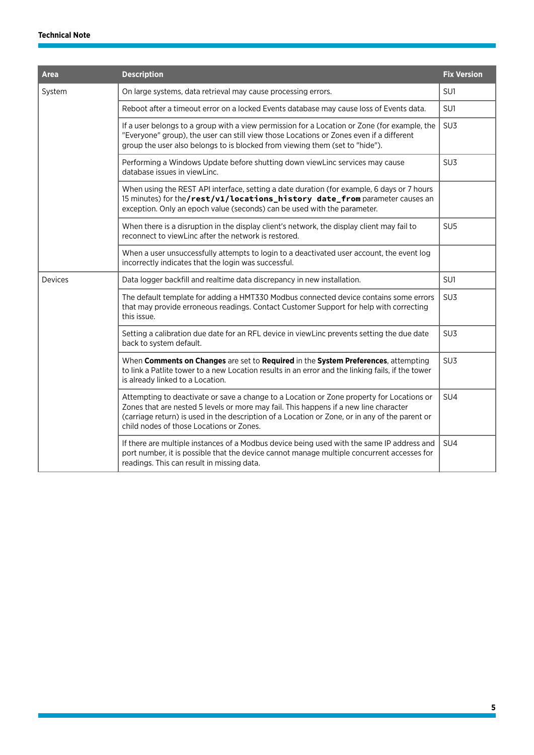| <b>Area</b> | <b>Description</b>                                                                                                                                                                                                                                                                                                               | <b>Fix Version</b> |
|-------------|----------------------------------------------------------------------------------------------------------------------------------------------------------------------------------------------------------------------------------------------------------------------------------------------------------------------------------|--------------------|
| System      | On large systems, data retrieval may cause processing errors.                                                                                                                                                                                                                                                                    | SU1                |
|             | Reboot after a timeout error on a locked Events database may cause loss of Events data.                                                                                                                                                                                                                                          | SU1                |
|             | If a user belongs to a group with a view permission for a Location or Zone (for example, the<br>"Everyone" group), the user can still view those Locations or Zones even if a different<br>group the user also belongs to is blocked from viewing them (set to "hide").                                                          | SU3                |
|             | Performing a Windows Update before shutting down viewLinc services may cause<br>database issues in viewLinc.                                                                                                                                                                                                                     | SU <sub>3</sub>    |
|             | When using the REST API interface, setting a date duration (for example, 6 days or 7 hours<br>15 minutes) for the/rest/v1/locations_history date_from parameter causes an<br>exception. Only an epoch value (seconds) can be used with the parameter.                                                                            |                    |
|             | When there is a disruption in the display client's network, the display client may fail to<br>reconnect to viewLinc after the network is restored.                                                                                                                                                                               | SU <sub>5</sub>    |
|             | When a user unsuccessfully attempts to login to a deactivated user account, the event log<br>incorrectly indicates that the login was successful.                                                                                                                                                                                |                    |
| Devices     | Data logger backfill and realtime data discrepancy in new installation.                                                                                                                                                                                                                                                          | SU1                |
|             | The default template for adding a HMT330 Modbus connected device contains some errors<br>that may provide erroneous readings. Contact Customer Support for help with correcting<br>this issue.                                                                                                                                   | SU <sub>3</sub>    |
|             | Setting a calibration due date for an RFL device in viewLinc prevents setting the due date<br>back to system default.                                                                                                                                                                                                            | SU <sub>3</sub>    |
|             | When Comments on Changes are set to Required in the System Preferences, attempting<br>to link a Patlite tower to a new Location results in an error and the linking fails, if the tower<br>is already linked to a Location.                                                                                                      | SU <sub>3</sub>    |
|             | Attempting to deactivate or save a change to a Location or Zone property for Locations or<br>Zones that are nested 5 levels or more may fail. This happens if a new line character<br>(carriage return) is used in the description of a Location or Zone, or in any of the parent or<br>child nodes of those Locations or Zones. | SU4                |
|             | If there are multiple instances of a Modbus device being used with the same IP address and<br>port number, it is possible that the device cannot manage multiple concurrent accesses for<br>readings. This can result in missing data.                                                                                           | SU4                |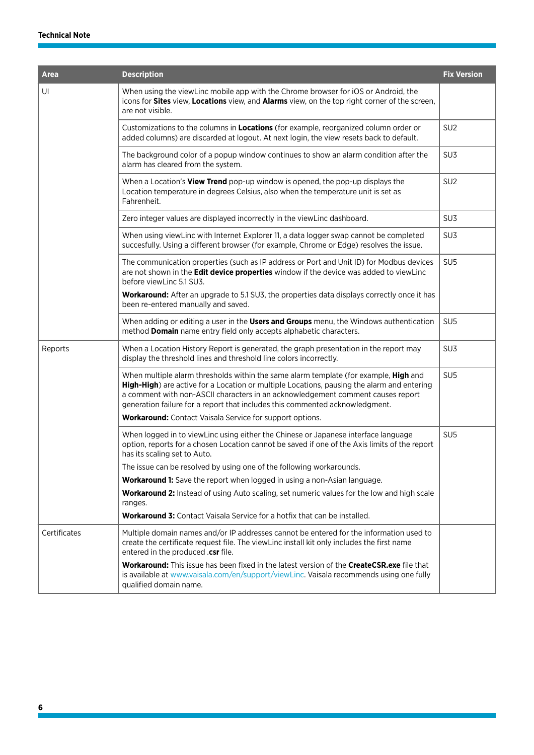| <b>Area</b>  | <b>Description</b>                                                                                                                                                                                                                                                                                                                                    | <b>Fix Version</b> |
|--------------|-------------------------------------------------------------------------------------------------------------------------------------------------------------------------------------------------------------------------------------------------------------------------------------------------------------------------------------------------------|--------------------|
| UI           | When using the viewLinc mobile app with the Chrome browser for iOS or Android, the<br>icons for Sites view, Locations view, and Alarms view, on the top right corner of the screen,<br>are not visible.                                                                                                                                               |                    |
|              | Customizations to the columns in Locations (for example, reorganized column order or<br>added columns) are discarded at logout. At next login, the view resets back to default.                                                                                                                                                                       | SU <sub>2</sub>    |
|              | The background color of a popup window continues to show an alarm condition after the<br>alarm has cleared from the system.                                                                                                                                                                                                                           | SU <sub>3</sub>    |
|              | When a Location's View Trend pop-up window is opened, the pop-up displays the<br>Location temperature in degrees Celsius, also when the temperature unit is set as<br>Fahrenheit.                                                                                                                                                                     | SU <sub>2</sub>    |
|              | Zero integer values are displayed incorrectly in the viewLinc dashboard.                                                                                                                                                                                                                                                                              | SU <sub>3</sub>    |
|              | When using viewLinc with Internet Explorer 11, a data logger swap cannot be completed<br>succesfully. Using a different browser (for example, Chrome or Edge) resolves the issue.                                                                                                                                                                     | SU <sub>3</sub>    |
|              | The communication properties (such as IP address or Port and Unit ID) for Modbus devices<br>are not shown in the Edit device properties window if the device was added to viewLinc<br>before viewLinc 5.1 SU3.                                                                                                                                        | SU <sub>5</sub>    |
|              | <b>Workaround:</b> After an upgrade to 5.1 SU3, the properties data displays correctly once it has<br>been re-entered manually and saved.                                                                                                                                                                                                             |                    |
|              | When adding or editing a user in the Users and Groups menu, the Windows authentication<br>method Domain name entry field only accepts alphabetic characters.                                                                                                                                                                                          | SU <sub>5</sub>    |
| Reports      | When a Location History Report is generated, the graph presentation in the report may<br>display the threshold lines and threshold line colors incorrectly.                                                                                                                                                                                           | SU <sub>3</sub>    |
|              | When multiple alarm thresholds within the same alarm template (for example, High and<br>High-High) are active for a Location or multiple Locations, pausing the alarm and entering<br>a comment with non-ASCII characters in an acknowledgement comment causes report<br>generation failure for a report that includes this commented acknowledgment. | SU <sub>5</sub>    |
|              | Workaround: Contact Vaisala Service for support options.                                                                                                                                                                                                                                                                                              |                    |
|              | When logged in to viewLinc using either the Chinese or Japanese interface language<br>option, reports for a chosen Location cannot be saved if one of the Axis limits of the report<br>has its scaling set to Auto.                                                                                                                                   | SU <sub>5</sub>    |
|              | The issue can be resolved by using one of the following workarounds.                                                                                                                                                                                                                                                                                  |                    |
|              | <b>Workaround 1:</b> Save the report when logged in using a non-Asian language.                                                                                                                                                                                                                                                                       |                    |
|              | <b>Workaround 2:</b> Instead of using Auto scaling, set numeric values for the low and high scale                                                                                                                                                                                                                                                     |                    |
|              | ranges.                                                                                                                                                                                                                                                                                                                                               |                    |
|              | <b>Workaround 3:</b> Contact Vaisala Service for a hotfix that can be installed.                                                                                                                                                                                                                                                                      |                    |
| Certificates | Multiple domain names and/or IP addresses cannot be entered for the information used to<br>create the certificate request file. The viewLinc install kit only includes the first name<br>entered in the produced .csr file.                                                                                                                           |                    |
|              | <b>Workaround:</b> This issue has been fixed in the latest version of the <b>CreateCSR.exe</b> file that<br>is available at www.vaisala.com/en/support/viewLinc. Vaisala recommends using one fully<br>qualified domain name.                                                                                                                         |                    |